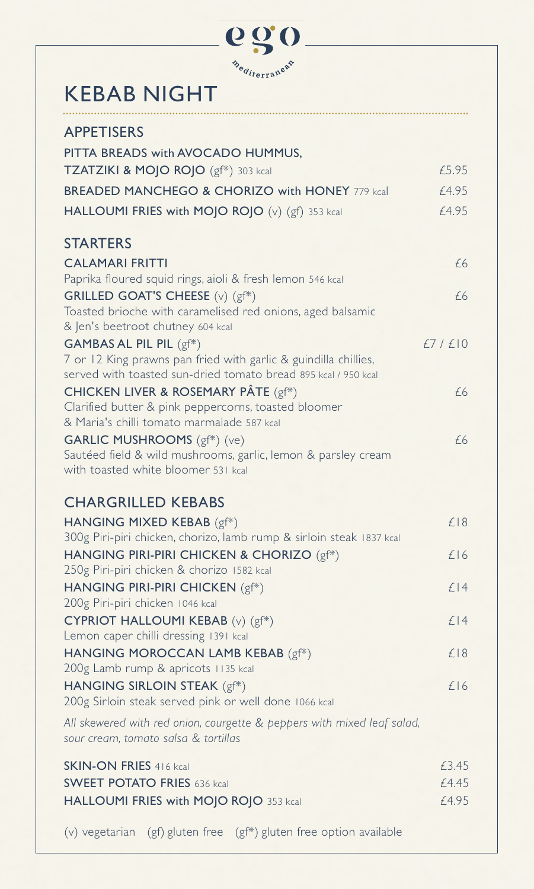

## KEBAB NIGHT

| <b>APPETISERS</b>                                                                                               |        |
|-----------------------------------------------------------------------------------------------------------------|--------|
| PITTA BREADS with AVOCADO HUMMUS,                                                                               |        |
| TZATZIKI & MOJO ROJO (gf*) 303 kcal                                                                             | £5.95  |
| <b>BREADED MANCHEGO &amp; CHORIZO with HONEY 779 kcal</b>                                                       | £4.95  |
| HALLOUMI FRIES with MOJO ROJO (v) (gf) 353 kcal                                                                 | £4.95  |
| <b>STARTERS</b>                                                                                                 |        |
| <b>CALAMARI FRITTI</b>                                                                                          |        |
| Paprika floured squid rings, aioli & fresh lemon 546 kcal                                                       | £6     |
| <b>GRILLED GOAT'S CHEESE</b> (v) (gf*)                                                                          | £6     |
| Toasted brioche with caramelised red onions, aged balsamic                                                      |        |
| & Jen's beetroot chutney 604 kcal                                                                               |        |
| GAMBAS AL PIL PIL (gf*)<br>7 or 12 King prawns pan fried with garlic & guindilla chillies,                      | £7/£10 |
| served with toasted sun-dried tomato bread 895 kcal / 950 kcal                                                  |        |
| <b>CHICKEN LIVER &amp; ROSEMARY PÂTE</b> (gf*)                                                                  | £6     |
| Clarified butter & pink peppercorns, toasted bloomer                                                            |        |
| & Maria's chilli tomato marmalade 587 kcal                                                                      |        |
| <b>GARLIC MUSHROOMS</b> (gf*) (ve)<br>Sautéed field & wild mushrooms, garlic, lemon & parsley cream             | £6     |
| with toasted white bloomer 531 kcal                                                                             |        |
|                                                                                                                 |        |
| <b>CHARGRILLED KEBABS</b>                                                                                       |        |
| HANGING MIXED KEBAB (gf*)                                                                                       | £18    |
| 300g Piri-piri chicken, chorizo, lamb rump & sirloin steak 1837 kcal                                            | £16    |
| HANGING PIRI-PIRI CHICKEN & CHORIZO (gf*)<br>250g Piri-piri chicken & chorizo 1582 kcal                         |        |
| HANGING PIRI-PIRI CHICKEN (gf*)                                                                                 | £14    |
| 200g Piri-piri chicken 1046 kcal                                                                                |        |
| CYPRIOT HALLOUMI KEBAB (v) (gf*)                                                                                | $f$  4 |
| Lemon caper chilli dressing 1391 kcal                                                                           |        |
| HANGING MOROCCAN LAMB KEBAB (gf*)<br>200g Lamb rump & apricots 1135 kcal                                        | £18    |
| HANGING SIRLOIN STEAK (gf*)                                                                                     | £16    |
| 200g Sirloin steak served pink or well done 1066 kcal                                                           |        |
| All skewered with red onion, courgette & peppers with mixed leaf salad,<br>sour cream, tomato salsa & tortillas |        |
| <b>SKIN-ON FRIES 416 kcal</b>                                                                                   | £3.45  |
| <b>SWEET POTATO FRIES 636 kcal</b>                                                                              | £4.45  |
| HALLOUMI FRIES with MOJO ROJO 353 kcal                                                                          | £4.95  |
| (v) vegetarian<br>$(gf)$ gluten free $(gf^*)$ gluten free option available                                      |        |